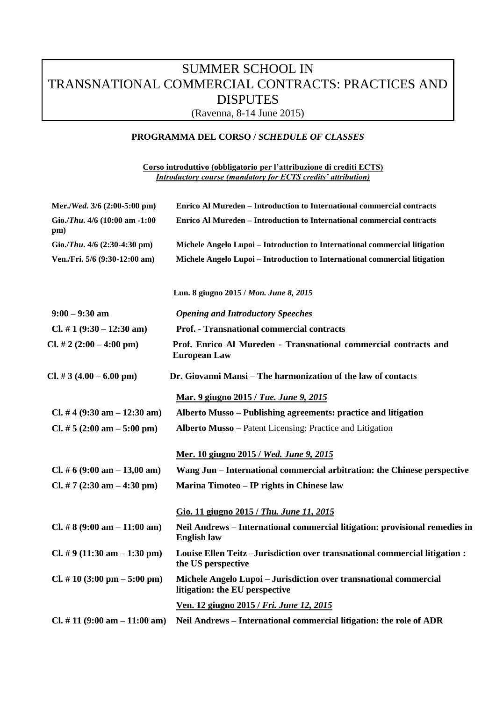## SUMMER SCHOOL IN TRANSNATIONAL COMMERCIAL CONTRACTS: PRACTICES AND **DISPUTES**

(Ravenna, 8-14 June 2015)

## **PROGRAMMA DEL CORSO /** *SCHEDULE OF CLASSES*

**Corso introduttivo (obbligatorio per l'attribuzione di crediti ECTS)**  *Introductory course (mandatory for ECTS credits' attribution)*

| Mer./Wed. 3/6 (2:00-5:00 pm)                    | <b>Enrico Al Mureden - Introduction to International commercial contracts</b>                       |
|-------------------------------------------------|-----------------------------------------------------------------------------------------------------|
| Gio./Thu. 4/6 (10:00 am -1:00<br>pm)            | Enrico Al Mureden – Introduction to International commercial contracts                              |
| Gio./Thu. $4/6$ (2:30-4:30 pm)                  | Michele Angelo Lupoi - Introduction to International commercial litigation                          |
| Ven./Fri. 5/6 (9:30-12:00 am)                   | Michele Angelo Lupoi - Introduction to International commercial litigation                          |
|                                                 | Lun. 8 giugno 2015 / Mon. June 8, 2015                                                              |
| $9:00 - 9:30$ am                                | <b>Opening and Introductory Speeches</b>                                                            |
| Cl. # 1 $(9:30 - 12:30$ am)                     | <b>Prof. - Transnational commercial contracts</b>                                                   |
| Cl. # 2 $(2:00 - 4:00 \text{ pm})$              | Prof. Enrico Al Mureden - Transnational commercial contracts and<br><b>European Law</b>             |
| $Cl. # 3 (4.00 - 6.00 pm)$                      | Dr. Giovanni Mansi – The harmonization of the law of contacts                                       |
|                                                 | Mar. 9 giugno 2015 / Tue. June 9, 2015                                                              |
| Cl. #4 $(9:30 \text{ am} - 12:30 \text{ am})$   | Alberto Musso – Publishing agreements: practice and litigation                                      |
| Cl. # $5(2:00 \text{ am} - 5:00 \text{ pm})$    | <b>Alberto Musso</b> – Patent Licensing: Practice and Litigation                                    |
|                                                 | Mer. 10 giugno 2015 / Wed. June 9, 2015                                                             |
| Cl. # 6 (9:00 am $- 13,00$ am)                  | Wang Jun – International commercial arbitration: the Chinese perspective                            |
| Cl. # 7 $(2:30 \text{ am} - 4:30 \text{ pm})$   | Marina Timoteo – IP rights in Chinese law                                                           |
|                                                 | Gio. 11 giugno 2015 / Thu. June 11, 2015                                                            |
| Cl. #8 $(9:00 \text{ am} - 11:00 \text{ am})$   | Neil Andrews - International commercial litigation: provisional remedies in<br><b>English law</b>   |
| Cl. # 9 (11:30 am $-$ 1:30 pm)                  | Louise Ellen Teitz-Jurisdiction over transnational commercial litigation :<br>the US perspective    |
| $Cl. # 10 (3:00 pm - 5:00 pm)$                  | Michele Angelo Lupoi - Jurisdiction over transnational commercial<br>litigation: the EU perspective |
|                                                 | Ven. 12 giugno 2015 / Fri. June 12, 2015                                                            |
| Cl. # 11 $(9:00 \text{ am} - 11:00 \text{ am})$ | Neil Andrews - International commercial litigation: the role of ADR                                 |